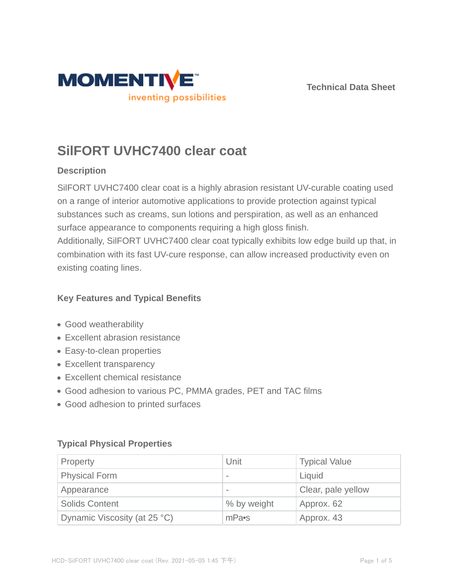



# **SilFORT UVHC7400 clear coat**

## **Description**

SilFORT UVHC7400 clear coat is a highly abrasion resistant UV-curable coating used on a range of interior automotive applications to provide protection against typical substances such as creams, sun lotions and perspiration, as well as an enhanced surface appearance to components requiring a high gloss finish. Additionally, SilFORT UVHC7400 clear coat typically exhibits low edge build up that, in

combination with its fast UV-cure response, can allow increased productivity even on existing coating lines.

## **Key Features and Typical Benefits**

- Good weatherability
- Excellent abrasion resistance
- Easy-to-clean properties
- Excellent transparency
- Excellent chemical resistance
- Good adhesion to various PC, PMMA grades, PET and TAC films
- Good adhesion to printed surfaces

## **Typical Physical Properties**

| Property                     | Unit                     | <b>Typical Value</b> |  |
|------------------------------|--------------------------|----------------------|--|
| <b>Physical Form</b>         | $\overline{\phantom{a}}$ | Liquid               |  |
| Appearance                   | $\qquad \qquad$          | Clear, pale yellow   |  |
| <b>Solids Content</b>        | % by weight              | Approx. 62           |  |
| Dynamic Viscosity (at 25 °C) | mPa•s                    | Approx. 43           |  |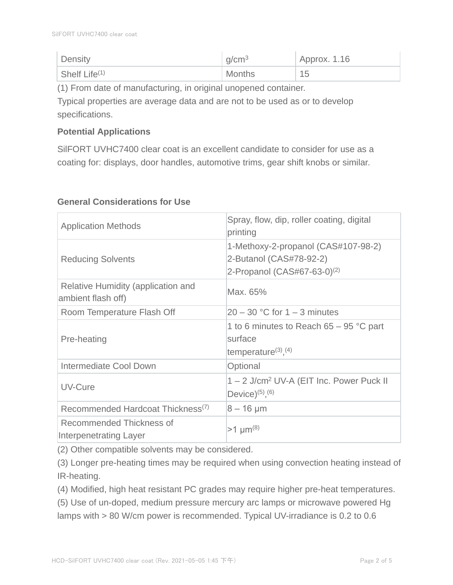| Density          | g/cm <sup>3</sup> | $\overline{A}$ Approx. 1.16 |
|------------------|-------------------|-----------------------------|
| Shelf Life $(1)$ | <b>Months</b>     | 15                          |

(1) From date of manufacturing, in original unopened container.

Typical properties are average data and are not to be used as or to develop specifications.

#### **Potential Applications**

SilFORT UVHC7400 clear coat is an excellent candidate to consider for use as a coating for: displays, door handles, automotive trims, gear shift knobs or similar.

| <b>Application Methods</b>                                | Spray, flow, dip, roller coating, digital<br>printing                                              |
|-----------------------------------------------------------|----------------------------------------------------------------------------------------------------|
| <b>Reducing Solvents</b>                                  | 1-Methoxy-2-propanol (CAS#107-98-2)<br>2-Butanol (CAS#78-92-2)<br>2-Propanol $(CAS#67-63-0)^{(2)}$ |
| Relative Humidity (application and<br>ambient flash off)  | Max. 65%                                                                                           |
| Room Temperature Flash Off                                | $20 - 30$ °C for 1 – 3 minutes                                                                     |
| Pre-heating                                               | 1 to 6 minutes to Reach $65 - 95$ °C part<br>surface<br>temperature $(3)$ , $(4)$                  |
| Intermediate Cool Down                                    | Optional                                                                                           |
| UV-Cure                                                   | 1 - 2 J/cm <sup>2</sup> UV-A (EIT Inc. Power Puck II<br>Device) $(5)$ , $(6)$                      |
| Recommended Hardcoat Thickness <sup>(7)</sup>             | $8 - 16 \mu m$                                                                                     |
| Recommended Thickness of<br><b>Interpenetrating Layer</b> | $>1 \mu m^{(8)}$                                                                                   |

## **General Considerations for Use**

(2) Other compatible solvents may be considered.

(3) Longer pre-heating times may be required when using convection heating instead of IR-heating.

(4) Modified, high heat resistant PC grades may require higher pre-heat temperatures.

(5) Use of un-doped, medium pressure mercury arc lamps or microwave powered Hg lamps with > 80 W/cm power is recommended. Typical UV-irradiance is 0.2 to 0.6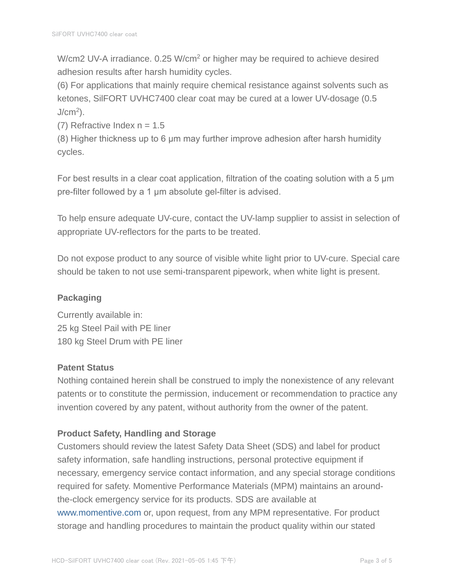W/cm2 UV-A irradiance. 0.25 W/cm<sup>2</sup> or higher may be required to achieve desired adhesion results after harsh humidity cycles.

(6) For applications that mainly require chemical resistance against solvents such as ketones, SilFORT UVHC7400 clear coat may be cured at a lower UV-dosage (0.5  $J/cm<sup>2</sup>$ ).

(7) Refractive Index  $n = 1.5$ 

(8) Higher thickness up to 6 μm may further improve adhesion after harsh humidity cycles.

For best results in a clear coat application, filtration of the coating solution with a 5 μm pre-filter followed by a 1 μm absolute gel-filter is advised.

To help ensure adequate UV-cure, contact the UV-lamp supplier to assist in selection of appropriate UV-reflectors for the parts to be treated.

Do not expose product to any source of visible white light prior to UV-cure. Special care should be taken to not use semi-transparent pipework, when white light is present.

# **Packaging**

Currently available in: 25 kg Steel Pail with PE liner 180 kg Steel Drum with PE liner

## **Patent Status**

Nothing contained herein shall be construed to imply the nonexistence of any relevant patents or to constitute the permission, inducement or recommendation to practice any invention covered by any patent, without authority from the owner of the patent.

## **Product Safety, Handling and Storage**

Customers should review the latest Safety Data Sheet (SDS) and label for product safety information, safe handling instructions, personal protective equipment if necessary, emergency service contact information, and any special storage conditions required for safety. Momentive Performance Materials (MPM) maintains an aroundthe-clock emergency service for its products. SDS are available at www.momentive.com or, upon request, from any MPM representative. For product storage and handling procedures to maintain the product quality within our stated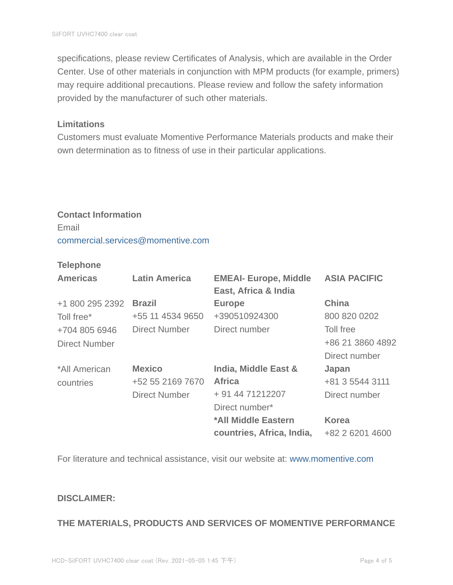specifications, please review Certificates of Analysis, which are available in the Order Center. Use of other materials in conjunction with MPM products (for example, primers) may require additional precautions. Please review and follow the safety information provided by the manufacturer of such other materials.

#### **Limitations**

Customers must evaluate Momentive Performance Materials products and make their own determination as to fitness of use in their particular applications.

#### **Contact Information**

Email commercial.services@momentive.com

#### **Telephone**

| <b>Americas</b>      | <b>Latin America</b> | <b>EMEAI- Europe, Middle</b><br>East, Africa & India | <b>ASIA PACIFIC</b> |
|----------------------|----------------------|------------------------------------------------------|---------------------|
| +1 800 295 2392      | <b>Brazil</b>        | <b>Europe</b>                                        | <b>China</b>        |
| Toll free*           | +55 11 4534 9650     | +390510924300                                        | 800 820 0202        |
| +704 805 6946        | <b>Direct Number</b> | Direct number                                        | Toll free           |
| <b>Direct Number</b> |                      |                                                      | +86 21 3860 4892    |
|                      |                      |                                                      | Direct number       |
| *All American        | <b>Mexico</b>        | India, Middle East &                                 | Japan               |
| countries            | +52 55 2169 7670     | <b>Africa</b>                                        | +81 3 5544 3111     |
|                      | <b>Direct Number</b> | + 91 44 71212207                                     | Direct number       |
|                      |                      | Direct number*                                       |                     |
|                      |                      | *All Middle Eastern                                  | <b>Korea</b>        |
|                      |                      | countries, Africa, India,                            | +82 2 6201 4600     |

For literature and technical assistance, visit our website at: www.momentive.com

#### **DISCLAIMER:**

#### **THE MATERIALS, PRODUCTS AND SERVICES OF MOMENTIVE PERFORMANCE**